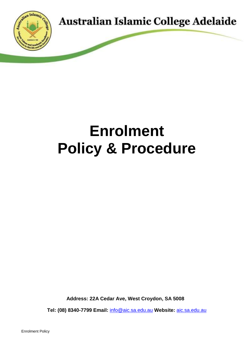

# **Enrolment Policy & Procedure**

**Address: 22A Cedar Ave, West Croydon, SA 5008**

**Tel: (08) 8340-7799 Email:** [info@aic.sa.edu.au](mailto:info@aic.sa.edu.au) **Website:** [aic.sa.edu.au](https://aic.sa.edu.au/)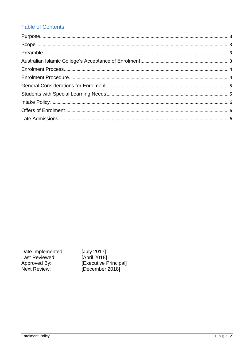# **Table of Contents**

Date Implemented: Last Reviewed: Approved By:<br>Next Review:

[July 2017] [April 2018] [Executive Principal]<br>[December 2018]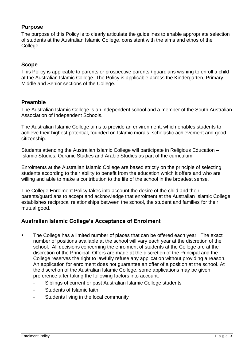## <span id="page-2-0"></span>**Purpose**

The purpose of this Policy is to clearly articulate the guidelines to enable appropriate selection of students at the Australian Islamic College, consistent with the aims and ethos of the College.

#### <span id="page-2-1"></span>**Scope**

This Policy is applicable to parents or prospective parents / guardians wishing to enroll a child at the Australian Islamic College. The Policy is applicable across the Kindergarten, Primary, Middle and Senior sections of the College.

#### <span id="page-2-2"></span>**Preamble**

The Australian Islamic College is an independent school and a member of the South Australian Association of Independent Schools.

The Australian Islamic College aims to provide an environment, which enables students to achieve their highest potential, founded on Islamic morals, scholastic achievement and good citizenship.

Students attending the Australian Islamic College will participate in Religious Education – Islamic Studies, Quranic Studies and Arabic Studies as part of the curriculum.

Enrolments at the Australian Islamic College are based strictly on the principle of selecting students according to their ability to benefit from the education which it offers and who are willing and able to make a contribution to the life of the school in the broadest sense.

The College Enrolment Policy takes into account the desire of the child and their parents/guardians to accept and acknowledge that enrolment at the Australian Islamic College establishes reciprocal relationships between the school, the student and families for their mutual good.

### <span id="page-2-3"></span>**Australian Islamic College's Acceptance of Enrolment**

- The College has a limited number of places that can be offered each year. The exact number of positions available at the school will vary each year at the discretion of the school. All decisions concerning the enrolment of students at the College are at the discretion of the Principal. Offers are made at the discretion of the Principal and the College reserves the right to lawfully refuse any application without providing a reason. An application for enrolment does not guarantee an offer of a position at the school. At the discretion of the Australian Islamic College, some applications may be given preference after taking the following factors into account:
	- Siblings of current or past Australian Islamic College students
	- Students of Islamic faith
	- Students living in the local community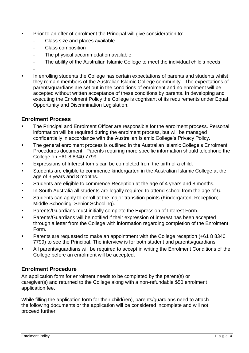- Prior to an offer of enrolment the Principal will give consideration to:
	- Class size and places available
	- Class composition
	- The physical accommodation available
	- The ability of the Australian Islamic College to meet the individual child's needs
	- -
- In enrolling students the College has certain expectations of parents and students whilst they remain members of the Australian Islamic College community. The expectations of parents/guardians are set out in the conditions of enrolment and no enrolment will be accepted without written acceptance of these conditions by parents. In developing and executing the Enrolment Policy the College is cognisant of its requirements under Equal Opportunity and Discrimination Legislation.

#### <span id="page-3-0"></span>**Enrolment Process**

- The Principal and Enrolment Officer are responsible for the enrolment process. Personal information will be required during the enrolment process, but will be managed confidentially in accordance with the Australian Islamic College's Privacy Policy.
- The general enrolment process is outlined in the Australian Islamic College's Enrolment Procedures document. Parents requiring more specific information should telephone the College on +61 8 8340 7799.
- Expressions of Interest forms can be completed from the birth of a child.
- Students are eligible to commence kindergarten in the Australian Islamic College at the age of 3 years and 8 months.
- Students are eligible to commence Reception at the age of 4 years and 8 months.
- In South Australia all students are legally required to attend school from the age of 6.
- Students can apply to enroll at the major transition points (Kindergarten; Reception; Middle Schooling; Senior Schooling).
- Parents/Guardians must initially complete the Expression of Interest Form.
- Parents/Guardians will be notified if their expression of interest has been accepted through a letter from the College with information regarding completion of the Enrolment Form.
- **Parents are requested to make an appointment with the College reception (+61 8 8340)** 7799) to see the Principal. The interview is for both student and parents/guardians.
- All parents/guardians will be required to accept in writing the Enrolment Conditions of the College before an enrolment will be accepted.

### <span id="page-3-1"></span>**Enrolment Procedure**

An application form for enrolment needs to be completed by the parent(s) or caregiver(s) and returned to the College along with a non-refundable \$50 enrolment application fee.

While filling the application form for their child(ren), parents/guardians need to attach the following documents or the application will be considered incomplete and will not proceed further.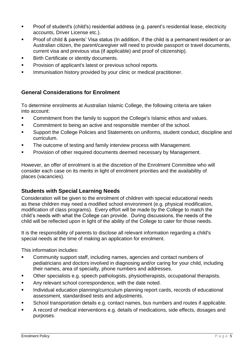- Proof of student's (child's) residential address (e.g. parent's residential lease, electricity accounts, Driver License etc.).
- Proof of child & parents' Visa status (In addition, if the child is a permanent resident or an Australian citizen, the parent/caregiver will need to provide passport or travel documents, current visa and previous visa (if applicable) and proof of citizenship).
- Birth Certificate or identity documents.
- Provision of applicant's latest or previous school reports.
- Immunisation history provided by your clinic or medical practitioner.

### <span id="page-4-0"></span>**General Considerations for Enrolment**

To determine enrolments at Australian Islamic College, the following criteria are taken into account:

- Commitment from the family to support the College's Islamic ethos and values.
- Commitment to being an active and responsible member of the school.
- Support the College Policies and Statements on uniforms, student conduct, discipline and curriculum.
- The outcome of testing and family interview process with Management.
- Provision of other required documents deemed necessary by Management.

However, an offer of enrolment is at the discretion of the Enrolment Committee who will consider each case on its merits in light of enrolment priorities and the availability of places (vacancies).

### <span id="page-4-1"></span>**Students with Special Learning Needs**

Consideration will be given to the enrolment of children with special educational needs as these children may need a modified school environment (e.g. physical modification, modification of class programs). Every effort will be made by the College to match the child's needs with what the College can provide. During discussions, the needs of the child will be reflected upon in light of the ability of the College to cater for those needs.

It is the responsibility of parents to disclose all relevant information regarding a child's special needs at the time of making an application for enrolment.

This information includes:

- Community support staff, including names, agencies and contact numbers of pediatricians and doctors involved in diagnosing and/or caring for your child, including their names, area of specialty, phone numbers and addresses.
- Other specialists e.g. speech pathologists, physiotherapists, occupational therapists.
- Any relevant school correspondence, with the date noted.
- Individual education planning/curriculum planning report cards, records of educational assessment, standardised tests and adjustments.
- School transportation details e.g. contact names, bus numbers and routes if applicable.
- A record of medical interventions e.g. details of medications, side effects, dosages and purposes.